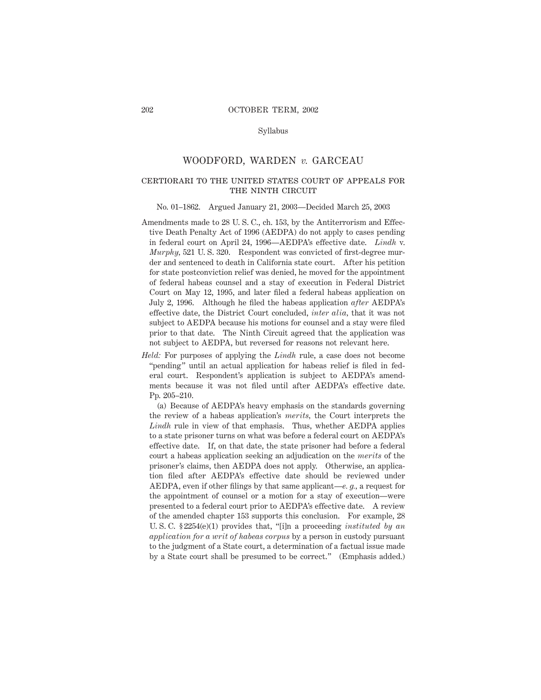## Syllabus

# WOODFORD, WARDEN *v.* GARCEAU

# certiorari to the united states court of appeals for THE NINTH CIRCUIT

#### No. 01–1862. Argued January 21, 2003—Decided March 25, 2003

- Amendments made to 28 U. S. C., ch. 153, by the Antiterrorism and Effective Death Penalty Act of 1996 (AEDPA) do not apply to cases pending in federal court on April 24, 1996—AEDPA's effective date. *Lindh* v. *Murphy,* 521 U. S. 320. Respondent was convicted of first-degree murder and sentenced to death in California state court. After his petition for state postconviction relief was denied, he moved for the appointment of federal habeas counsel and a stay of execution in Federal District Court on May 12, 1995, and later filed a federal habeas application on July 2, 1996. Although he filed the habeas application *after* AEDPA's effective date, the District Court concluded, *inter alia,* that it was not subject to AEDPA because his motions for counsel and a stay were filed prior to that date. The Ninth Circuit agreed that the application was not subject to AEDPA, but reversed for reasons not relevant here.
- *Held:* For purposes of applying the *Lindh* rule, a case does not become "pending" until an actual application for habeas relief is filed in federal court. Respondent's application is subject to AEDPA's amendments because it was not filed until after AEDPA's effective date. Pp. 205–210.

(a) Because of AEDPA's heavy emphasis on the standards governing the review of a habeas application's *merits,* the Court interprets the *Lindh* rule in view of that emphasis. Thus, whether AEDPA applies to a state prisoner turns on what was before a federal court on AEDPA's effective date. If, on that date, the state prisoner had before a federal court a habeas application seeking an adjudication on the *merits* of the prisoner's claims, then AEDPA does not apply. Otherwise, an application filed after AEDPA's effective date should be reviewed under AEDPA, even if other filings by that same applicant—*e. g.,* a request for the appointment of counsel or a motion for a stay of execution—were presented to a federal court prior to AEDPA's effective date. A review of the amended chapter 153 supports this conclusion. For example, 28 U. S. C. § 2254(e)(1) provides that, "[i]n a proceeding *instituted by an application for a writ of habeas corpus* by a person in custody pursuant to the judgment of a State court, a determination of a factual issue made by a State court shall be presumed to be correct." (Emphasis added.)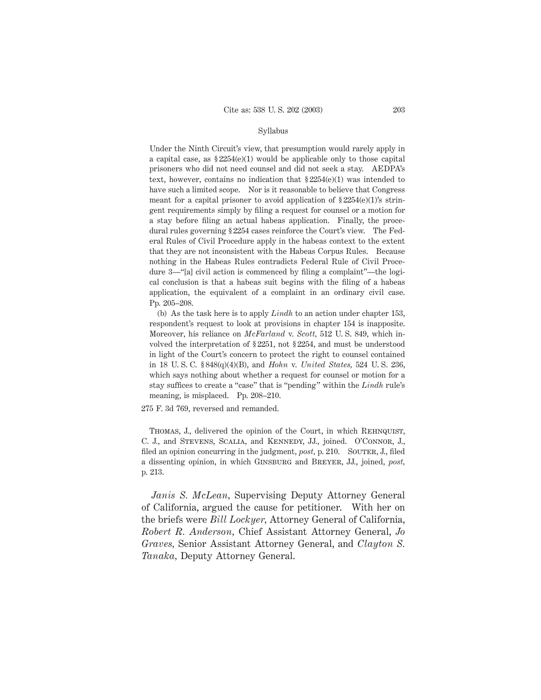## Syllabus

Under the Ninth Circuit's view, that presumption would rarely apply in a capital case, as  $$2254(e)(1)$  would be applicable only to those capital prisoners who did not need counsel and did not seek a stay. AEDPA's text, however, contains no indication that § 2254(e)(1) was intended to have such a limited scope. Nor is it reasonable to believe that Congress meant for a capital prisoner to avoid application of  $\S 2254(e)(1)$ 's stringent requirements simply by filing a request for counsel or a motion for a stay before filing an actual habeas application. Finally, the procedural rules governing § 2254 cases reinforce the Court's view. The Federal Rules of Civil Procedure apply in the habeas context to the extent that they are not inconsistent with the Habeas Corpus Rules. Because nothing in the Habeas Rules contradicts Federal Rule of Civil Procedure 3—"[a] civil action is commenced by filing a complaint"—the logical conclusion is that a habeas suit begins with the filing of a habeas application, the equivalent of a complaint in an ordinary civil case. Pp. 205–208.

(b) As the task here is to apply *Lindh* to an action under chapter 153, respondent's request to look at provisions in chapter 154 is inapposite. Moreover, his reliance on *McFarland* v. *Scott,* 512 U. S. 849, which involved the interpretation of § 2251, not § 2254, and must be understood in light of the Court's concern to protect the right to counsel contained in 18 U. S. C. § 848(q)(4)(B), and *Hohn* v. *United States,* 524 U. S. 236, which says nothing about whether a request for counsel or motion for a stay suffices to create a "case" that is "pending" within the *Lindh* rule's meaning, is misplaced. Pp. 208–210.

275 F. 3d 769, reversed and remanded.

THOMAS, J., delivered the opinion of the Court, in which REHNQUIST, C. J., and Stevens, Scalia, and Kennedy, JJ., joined. O'Connor, J., filed an opinion concurring in the judgment, *post*, p. 210. SOUTER, J., filed a dissenting opinion, in which Ginsburg and Breyer, JJ., joined, *post,* p. 213.

*Janis S. McLean,* Supervising Deputy Attorney General of California, argued the cause for petitioner. With her on the briefs were *Bill Lockyer,* Attorney General of California, *Robert R. Anderson,* Chief Assistant Attorney General, *Jo Graves,* Senior Assistant Attorney General, and *Clayton S. Tanaka,* Deputy Attorney General.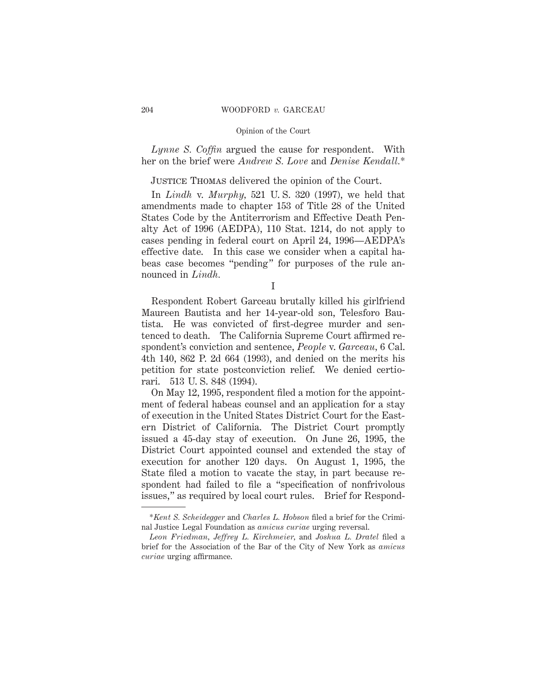*Lynne S. Coffin* argued the cause for respondent. With her on the brief were *Andrew S. Love* and *Denise Kendall.*\*

# Justice Thomas delivered the opinion of the Court.

In *Lindh* v. *Murphy,* 521 U. S. 320 (1997), we held that amendments made to chapter 153 of Title 28 of the United States Code by the Antiterrorism and Effective Death Penalty Act of 1996 (AEDPA), 110 Stat. 1214, do not apply to cases pending in federal court on April 24, 1996—AEDPA's effective date. In this case we consider when a capital habeas case becomes "pending" for purposes of the rule announced in *Lindh.*

I

Respondent Robert Garceau brutally killed his girlfriend Maureen Bautista and her 14-year-old son, Telesforo Bautista. He was convicted of first-degree murder and sentenced to death. The California Supreme Court affirmed respondent's conviction and sentence, *People* v. *Garceau,* 6 Cal. 4th 140, 862 P. 2d 664 (1993), and denied on the merits his petition for state postconviction relief. We denied certiorari. 513 U. S. 848 (1994).

On May 12, 1995, respondent filed a motion for the appointment of federal habeas counsel and an application for a stay of execution in the United States District Court for the Eastern District of California. The District Court promptly issued a 45-day stay of execution. On June 26, 1995, the District Court appointed counsel and extended the stay of execution for another 120 days. On August 1, 1995, the State filed a motion to vacate the stay, in part because respondent had failed to file a "specification of nonfrivolous issues," as required by local court rules. Brief for Respond-

<sup>\*</sup>*Kent S. Scheidegger* and *Charles L. Hobson* filed a brief for the Criminal Justice Legal Foundation as *amicus curiae* urging reversal.

*Leon Friedman, Jeffrey L. Kirchmeier,* and *Joshua L. Dratel* filed a brief for the Association of the Bar of the City of New York as *amicus curiae* urging affirmance.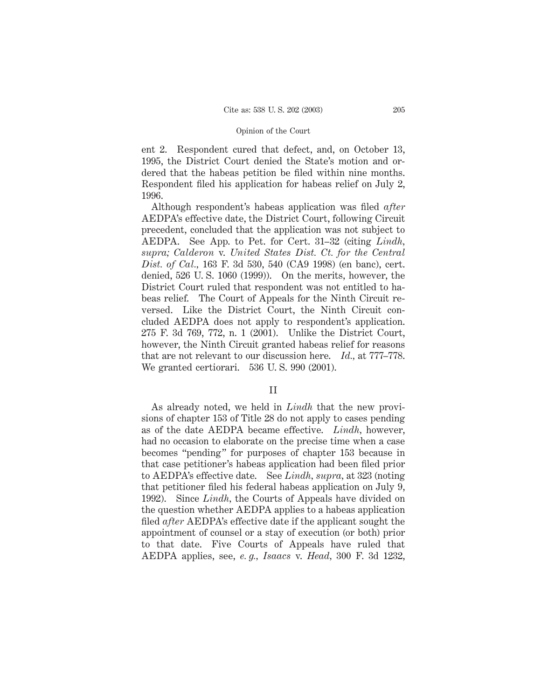ent 2. Respondent cured that defect, and, on October 13, 1995, the District Court denied the State's motion and ordered that the habeas petition be filed within nine months. Respondent filed his application for habeas relief on July 2, 1996.

Although respondent's habeas application was filed *after* AEDPA's effective date, the District Court, following Circuit precedent, concluded that the application was not subject to AEDPA. See App. to Pet. for Cert. 31–32 (citing *Lindh, supra; Calderon* v. *United States Dist. Ct. for the Central Dist. of Cal.,* 163 F. 3d 530, 540 (CA9 1998) (en banc), cert. denied, 526 U. S. 1060 (1999)). On the merits, however, the District Court ruled that respondent was not entitled to habeas relief. The Court of Appeals for the Ninth Circuit reversed. Like the District Court, the Ninth Circuit concluded AEDPA does not apply to respondent's application. 275 F. 3d 769, 772, n. 1 (2001). Unlike the District Court, however, the Ninth Circuit granted habeas relief for reasons that are not relevant to our discussion here. *Id.,* at 777–778. We granted certiorari. 536 U. S. 990 (2001).

## II

As already noted, we held in *Lindh* that the new provisions of chapter 153 of Title 28 do not apply to cases pending as of the date AEDPA became effective. *Lindh,* however, had no occasion to elaborate on the precise time when a case becomes "pending" for purposes of chapter 153 because in that case petitioner's habeas application had been filed prior to AEDPA's effective date. See *Lindh, supra,* at 323 (noting that petitioner filed his federal habeas application on July 9, 1992). Since *Lindh,* the Courts of Appeals have divided on the question whether AEDPA applies to a habeas application filed *after* AEDPA's effective date if the applicant sought the appointment of counsel or a stay of execution (or both) prior to that date. Five Courts of Appeals have ruled that AEDPA applies, see, *e. g., Isaacs* v. *Head,* 300 F. 3d 1232,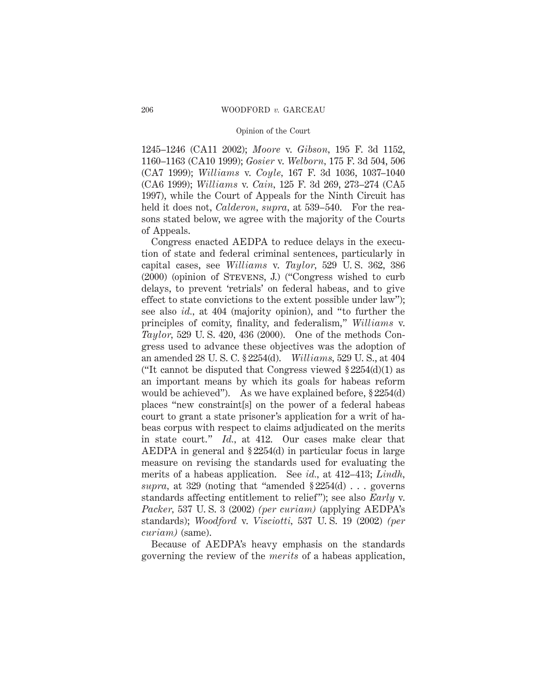1245–1246 (CA11 2002); *Moore* v. *Gibson,* 195 F. 3d 1152, 1160–1163 (CA10 1999); *Gosier* v. *Welborn,* 175 F. 3d 504, 506 (CA7 1999); *Williams* v. *Coyle,* 167 F. 3d 1036, 1037–1040 (CA6 1999); *Williams* v. *Cain,* 125 F. 3d 269, 273–274 (CA5 1997), while the Court of Appeals for the Ninth Circuit has held it does not, *Calderon*, *supra*, at 539–540. For the reasons stated below, we agree with the majority of the Courts of Appeals.

Congress enacted AEDPA to reduce delays in the execution of state and federal criminal sentences, particularly in capital cases, see *Williams* v. *Taylor,* 529 U. S. 362, 386 (2000) (opinion of Stevens, J.) ("Congress wished to curb delays, to prevent 'retrials' on federal habeas, and to give effect to state convictions to the extent possible under law"); see also *id.,* at 404 (majority opinion), and "to further the principles of comity, finality, and federalism," *Williams* v. *Taylor,* 529 U. S. 420, 436 (2000). One of the methods Congress used to advance these objectives was the adoption of an amended 28 U. S. C. § 2254(d). *Williams,* 529 U. S., at 404 ("It cannot be disputed that Congress viewed  $\S 2254(d)(1)$  as an important means by which its goals for habeas reform would be achieved"). As we have explained before, § 2254(d) places "new constraint[s] on the power of a federal habeas court to grant a state prisoner's application for a writ of habeas corpus with respect to claims adjudicated on the merits in state court." *Id.,* at 412. Our cases make clear that AEDPA in general and § 2254(d) in particular focus in large measure on revising the standards used for evaluating the merits of a habeas application. See *id.,* at 412–413; *Lindh, supra,* at 329 (noting that "amended § 2254(d) . . . governs standards affecting entitlement to relief"); see also *Early* v. *Packer,* 537 U. S. 3 (2002) *(per curiam)* (applying AEDPA's standards); *Woodford* v. *Visciotti,* 537 U. S. 19 (2002) *(per curiam)* (same).

Because of AEDPA's heavy emphasis on the standards governing the review of the *merits* of a habeas application,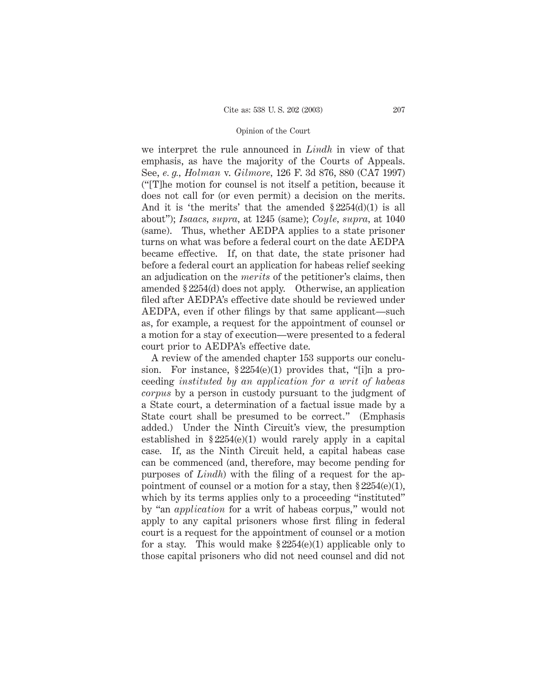we interpret the rule announced in *Lindh* in view of that emphasis, as have the majority of the Courts of Appeals. See, *e. g., Holman* v. *Gilmore,* 126 F. 3d 876, 880 (CA7 1997) ("[T]he motion for counsel is not itself a petition, because it does not call for (or even permit) a decision on the merits. And it is 'the merits' that the amended § 2254(d)(1) is all about"); *Isaacs, supra,* at 1245 (same); *Coyle, supra,* at 1040 (same). Thus, whether AEDPA applies to a state prisoner turns on what was before a federal court on the date AEDPA became effective. If, on that date, the state prisoner had before a federal court an application for habeas relief seeking an adjudication on the *merits* of the petitioner's claims, then amended § 2254(d) does not apply. Otherwise, an application filed after AEDPA's effective date should be reviewed under AEDPA, even if other filings by that same applicant—such as, for example, a request for the appointment of counsel or a motion for a stay of execution—were presented to a federal court prior to AEDPA's effective date.

A review of the amended chapter 153 supports our conclusion. For instance,  $\S 2254(e)(1)$  provides that, "[i]n a proceeding *instituted by an application for a writ of habeas corpus* by a person in custody pursuant to the judgment of a State court, a determination of a factual issue made by a State court shall be presumed to be correct." (Emphasis added.) Under the Ninth Circuit's view, the presumption established in  $$2254(e)(1)$  would rarely apply in a capital case. If, as the Ninth Circuit held, a capital habeas case can be commenced (and, therefore, may become pending for purposes of *Lindh*) with the filing of a request for the appointment of counsel or a motion for a stay, then  $$2254(e)(1)$ , which by its terms applies only to a proceeding "instituted" by "an *application* for a writ of habeas corpus," would not apply to any capital prisoners whose first filing in federal court is a request for the appointment of counsel or a motion for a stay. This would make  $\S 2254(e)(1)$  applicable only to those capital prisoners who did not need counsel and did not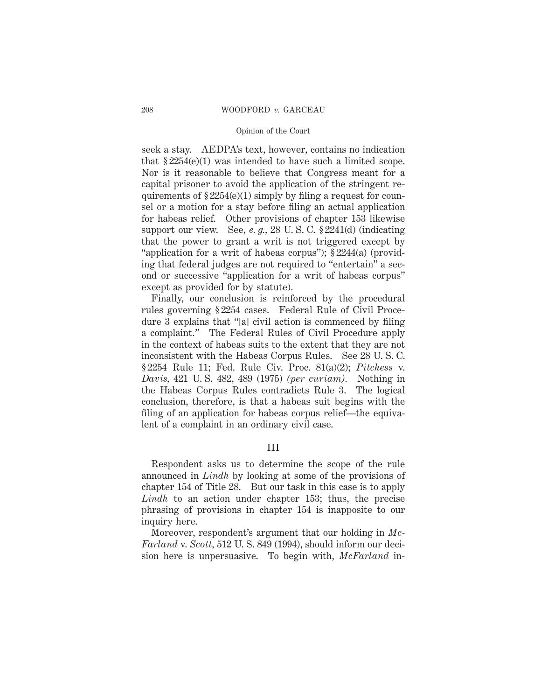seek a stay. AEDPA's text, however, contains no indication that  $$2254(e)(1)$  was intended to have such a limited scope. Nor is it reasonable to believe that Congress meant for a capital prisoner to avoid the application of the stringent requirements of  $\S 2254(e)(1)$  simply by filing a request for counsel or a motion for a stay before filing an actual application for habeas relief. Other provisions of chapter 153 likewise support our view. See, *e. g.,* 28 U. S. C. § 2241(d) (indicating that the power to grant a writ is not triggered except by "application for a writ of habeas corpus"); § 2244(a) (providing that federal judges are not required to "entertain" a second or successive "application for a writ of habeas corpus" except as provided for by statute).

Finally, our conclusion is reinforced by the procedural rules governing § 2254 cases. Federal Rule of Civil Procedure 3 explains that "[a] civil action is commenced by filing a complaint." The Federal Rules of Civil Procedure apply in the context of habeas suits to the extent that they are not inconsistent with the Habeas Corpus Rules. See 28 U. S. C. § 2254 Rule 11; Fed. Rule Civ. Proc. 81(a)(2); *Pitchess* v. *Davis,* 421 U. S. 482, 489 (1975) *(per curiam).* Nothing in the Habeas Corpus Rules contradicts Rule 3. The logical conclusion, therefore, is that a habeas suit begins with the filing of an application for habeas corpus relief—the equivalent of a complaint in an ordinary civil case.

III

Respondent asks us to determine the scope of the rule announced in *Lindh* by looking at some of the provisions of chapter 154 of Title 28. But our task in this case is to apply *Lindh* to an action under chapter 153; thus, the precise phrasing of provisions in chapter 154 is inapposite to our inquiry here.

Moreover, respondent's argument that our holding in *Mc-Farland* v. *Scott,* 512 U. S. 849 (1994), should inform our decision here is unpersuasive. To begin with, *McFarland* in-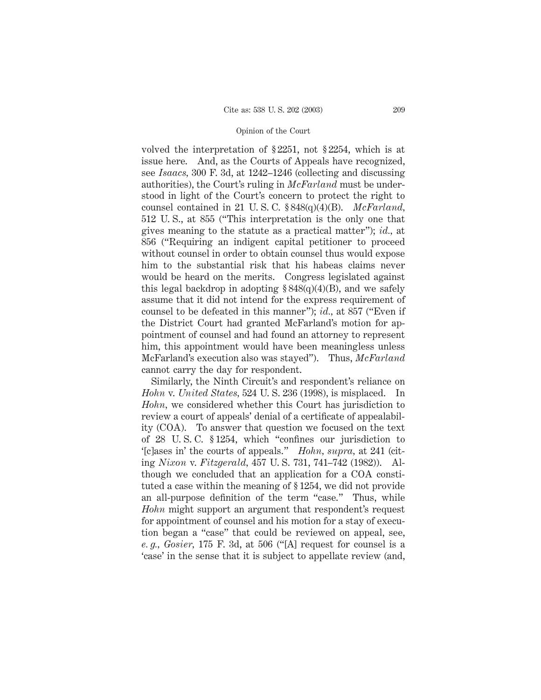volved the interpretation of § 2251, not § 2254, which is at issue here. And, as the Courts of Appeals have recognized, see *Isaacs,* 300 F. 3d, at 1242–1246 (collecting and discussing authorities), the Court's ruling in *McFarland* must be understood in light of the Court's concern to protect the right to counsel contained in 21 U. S. C. § 848(q)(4)(B). *McFarland,* 512 U. S., at 855 ("This interpretation is the only one that gives meaning to the statute as a practical matter"); *id.,* at 856 ("Requiring an indigent capital petitioner to proceed without counsel in order to obtain counsel thus would expose him to the substantial risk that his habeas claims never would be heard on the merits. Congress legislated against this legal backdrop in adopting  $\S 848(q)(4)(B)$ , and we safely assume that it did not intend for the express requirement of counsel to be defeated in this manner"); *id.,* at 857 ("Even if the District Court had granted McFarland's motion for appointment of counsel and had found an attorney to represent him, this appointment would have been meaningless unless McFarland's execution also was stayed"). Thus, *McFarland* cannot carry the day for respondent.

Similarly, the Ninth Circuit's and respondent's reliance on *Hohn* v. *United States,* 524 U. S. 236 (1998), is misplaced. In *Hohn,* we considered whether this Court has jurisdiction to review a court of appeals' denial of a certificate of appealability (COA). To answer that question we focused on the text of 28 U. S. C. § 1254, which "confines our jurisdiction to '[c]ases in' the courts of appeals." *Hohn, supra,* at 241 (citing *Nixon* v. *Fitzgerald,* 457 U. S. 731, 741–742 (1982)). Although we concluded that an application for a COA constituted a case within the meaning of § 1254, we did not provide an all-purpose definition of the term "case." Thus, while *Hohn* might support an argument that respondent's request for appointment of counsel and his motion for a stay of execution began a "case" that could be reviewed on appeal, see, *e. g., Gosier,* 175 F. 3d, at 506 ("[A] request for counsel is a 'case' in the sense that it is subject to appellate review (and,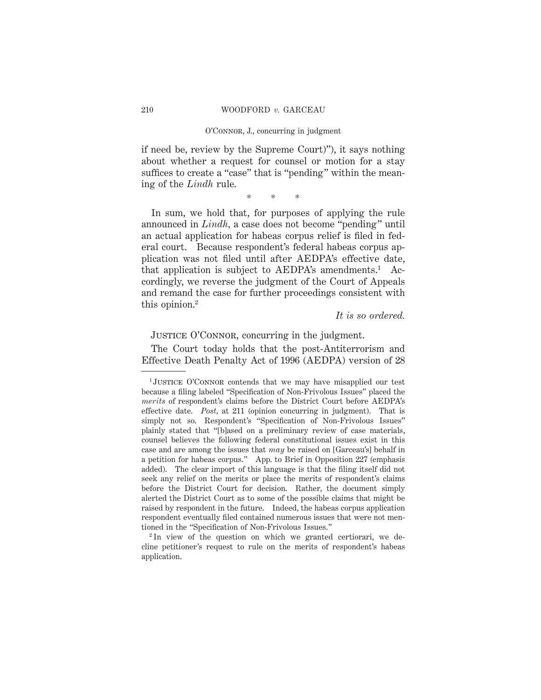## O'Connor, J., concurring in judgment

if need be, review by the Supreme Court)"), it says nothing about whether a request for counsel or motion for a stay suffices to create a "case" that is "pending" within the meaning of the *Lindh* rule.

\*\*\*

In sum, we hold that, for purposes of applying the rule announced in *Lindh,* a case does not become "pending" until an actual application for habeas corpus relief is filed in federal court. Because respondent's federal habeas corpus application was not filed until after AEDPA's effective date, that application is subject to  $AEDPA's$  amendments.<sup>1</sup> Accordingly, we reverse the judgment of the Court of Appeals and remand the case for further proceedings consistent with this opinion.2

# *It is so ordered.*

JUSTICE O'CONNOR, concurring in the judgment.

The Court today holds that the post-Antiterrorism and Effective Death Penalty Act of 1996 (AEDPA) version of 28

<sup>&</sup>lt;sup>1</sup>JUSTICE O'CONNOR contends that we may have misapplied our test because a filing labeled "Specification of Non-Frivolous Issues" placed the *merits* of respondent's claims before the District Court before AEDPA's effective date. *Post,* at 211 (opinion concurring in judgment). That is simply not so. Respondent's "Specification of Non-Frivolous Issues" plainly stated that "[b]ased on a preliminary review of case materials, counsel believes the following federal constitutional issues exist in this case and are among the issues that *may* be raised on [Garceau's] behalf in a petition for habeas corpus." App. to Brief in Opposition 227 (emphasis added). The clear import of this language is that the filing itself did not seek any relief on the merits or place the merits of respondent's claims before the District Court for decision. Rather, the document simply alerted the District Court as to some of the possible claims that might be raised by respondent in the future. Indeed, the habeas corpus application respondent eventually filed contained numerous issues that were not mentioned in the "Specification of Non-Frivolous Issues."

<sup>2</sup> In view of the question on which we granted certiorari, we decline petitioner's request to rule on the merits of respondent's habeas application.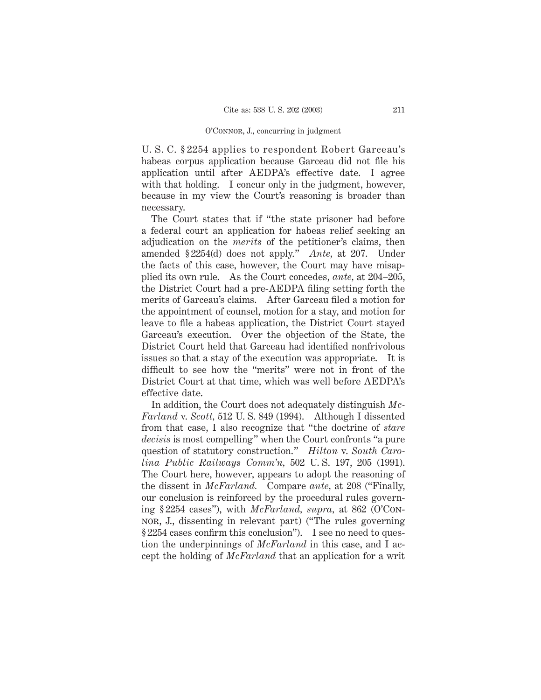## O'Connor, J., concurring in judgment

U. S. C. § 2254 applies to respondent Robert Garceau's habeas corpus application because Garceau did not file his application until after AEDPA's effective date. I agree with that holding. I concur only in the judgment, however, because in my view the Court's reasoning is broader than necessary.

The Court states that if "the state prisoner had before a federal court an application for habeas relief seeking an adjudication on the *merits* of the petitioner's claims, then amended § 2254(d) does not apply." *Ante,* at 207. Under the facts of this case, however, the Court may have misapplied its own rule. As the Court concedes, *ante,* at 204–205, the District Court had a pre-AEDPA filing setting forth the merits of Garceau's claims. After Garceau filed a motion for the appointment of counsel, motion for a stay, and motion for leave to file a habeas application, the District Court stayed Garceau's execution. Over the objection of the State, the District Court held that Garceau had identified nonfrivolous issues so that a stay of the execution was appropriate. It is difficult to see how the "merits" were not in front of the District Court at that time, which was well before AEDPA's effective date.

In addition, the Court does not adequately distinguish *Mc-Farland* v. *Scott,* 512 U. S. 849 (1994). Although I dissented from that case, I also recognize that "the doctrine of *stare decisis* is most compelling" when the Court confronts "a pure question of statutory construction." *Hilton* v. *South Carolina Public Railways Comm'n,* 502 U. S. 197, 205 (1991). The Court here, however, appears to adopt the reasoning of the dissent in *McFarland.* Compare *ante,* at 208 ("Finally, our conclusion is reinforced by the procedural rules governing § 2254 cases"), with *McFarland, supra,* at 862 (O'Connor, J., dissenting in relevant part) ("The rules governing § 2254 cases confirm this conclusion"). I see no need to question the underpinnings of *McFarland* in this case, and I accept the holding of *McFarland* that an application for a writ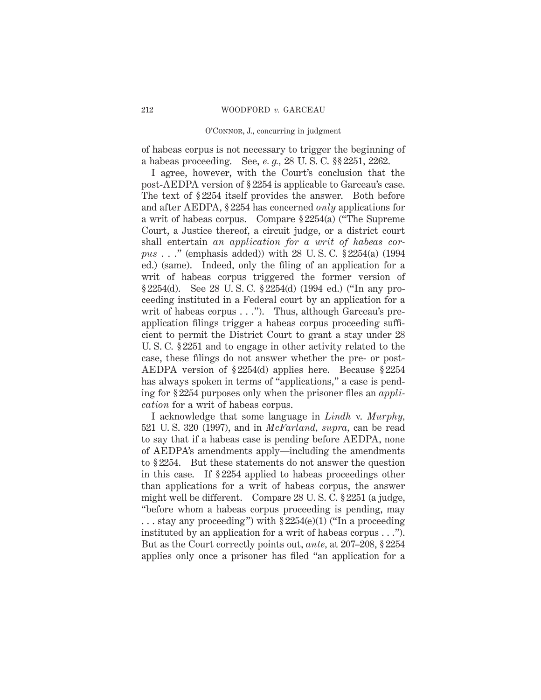## O'Connor, J., concurring in judgment

of habeas corpus is not necessary to trigger the beginning of a habeas proceeding. See, *e. g.,* 28 U. S. C. §§ 2251, 2262.

I agree, however, with the Court's conclusion that the post-AEDPA version of § 2254 is applicable to Garceau's case. The text of § 2254 itself provides the answer. Both before and after AEDPA, § 2254 has concerned *only* applications for a writ of habeas corpus. Compare § 2254(a) ("The Supreme Court, a Justice thereof, a circuit judge, or a district court shall entertain *an application for a writ of habeas corpus* . . ." (emphasis added)) with 28 U. S. C. § 2254(a) (1994 ed.) (same). Indeed, only the filing of an application for a writ of habeas corpus triggered the former version of § 2254(d). See 28 U. S. C. § 2254(d) (1994 ed.) ("In any proceeding instituted in a Federal court by an application for a writ of habeas corpus . . ."). Thus, although Garceau's preapplication filings trigger a habeas corpus proceeding sufficient to permit the District Court to grant a stay under 28 U. S. C. § 2251 and to engage in other activity related to the case, these filings do not answer whether the pre- or post-AEDPA version of § 2254(d) applies here. Because § 2254 has always spoken in terms of "applications," a case is pending for § 2254 purposes only when the prisoner files an *application* for a writ of habeas corpus.

I acknowledge that some language in *Lindh* v. *Murphy,* 521 U. S. 320 (1997), and in *McFarland, supra,* can be read to say that if a habeas case is pending before AEDPA, none of AEDPA's amendments apply—including the amendments to § 2254. But these statements do not answer the question in this case. If § 2254 applied to habeas proceedings other than applications for a writ of habeas corpus, the answer might well be different. Compare 28 U. S. C. § 2251 (a judge, "before whom a habeas corpus proceeding is pending, may  $\ldots$  stay any proceeding") with  $\S 2254(e)(1)$  ("In a proceeding") instituted by an application for a writ of habeas corpus . . ."). But as the Court correctly points out, *ante,* at 207–208, § 2254 applies only once a prisoner has filed "an application for a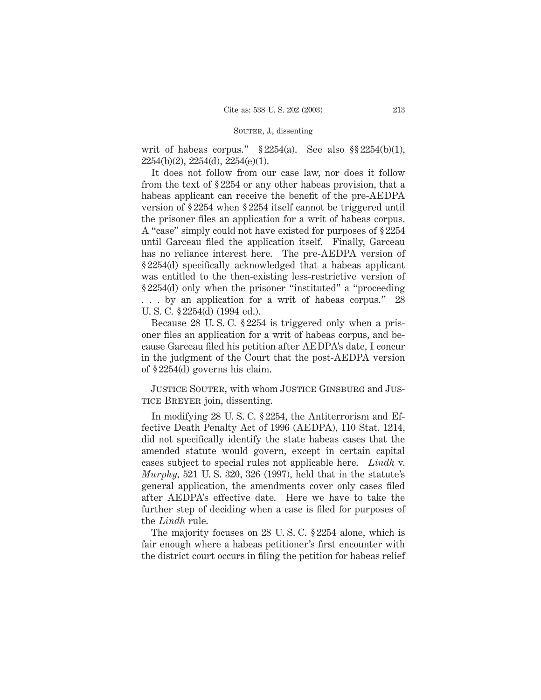# SOUTER, J., dissenting

writ of habeas corpus."  $$2254(a)$ . See also  $$2254(b)(1)$ , 2254(b)(2), 2254(d), 2254(e)(1).

It does not follow from our case law, nor does it follow from the text of § 2254 or any other habeas provision, that a habeas applicant can receive the benefit of the pre-AEDPA version of § 2254 when § 2254 itself cannot be triggered until the prisoner files an application for a writ of habeas corpus. A "case" simply could not have existed for purposes of § 2254 until Garceau filed the application itself. Finally, Garceau has no reliance interest here. The pre-AEDPA version of § 2254(d) specifically acknowledged that a habeas applicant was entitled to the then-existing less-restrictive version of § 2254(d) only when the prisoner "instituted" a "proceeding . . . by an application for a writ of habeas corpus." 28 U. S. C. § 2254(d) (1994 ed.).

Because 28 U. S. C. § 2254 is triggered only when a prisoner files an application for a writ of habeas corpus, and because Garceau filed his petition after AEDPA's date, I concur in the judgment of the Court that the post-AEDPA version of § 2254(d) governs his claim.

Justice Souter, with whom Justice Ginsburg and Justice Breyer join, dissenting.

In modifying 28 U. S. C. § 2254, the Antiterrorism and Effective Death Penalty Act of 1996 (AEDPA), 110 Stat. 1214, did not specifically identify the state habeas cases that the amended statute would govern, except in certain capital cases subject to special rules not applicable here. *Lindh* v. *Murphy,* 521 U. S. 320, 326 (1997), held that in the statute's general application, the amendments cover only cases filed after AEDPA's effective date. Here we have to take the further step of deciding when a case is filed for purposes of the *Lindh* rule.

The majority focuses on 28 U. S. C. § 2254 alone, which is fair enough where a habeas petitioner's first encounter with the district court occurs in filing the petition for habeas relief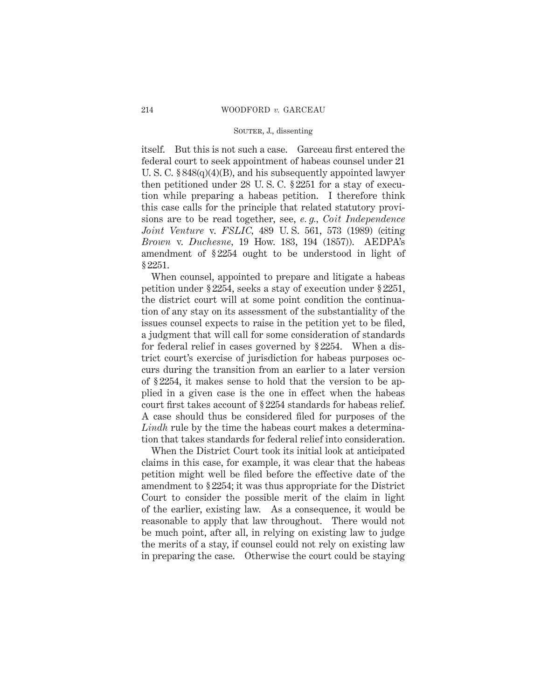# SOUTER, J., dissenting

itself. But this is not such a case. Garceau first entered the federal court to seek appointment of habeas counsel under 21 U. S. C. § 848(q)(4)(B), and his subsequently appointed lawyer then petitioned under 28 U. S. C. § 2251 for a stay of execution while preparing a habeas petition. I therefore think this case calls for the principle that related statutory provisions are to be read together, see, *e. g., Coit Independence Joint Venture* v. *FSLIC,* 489 U. S. 561, 573 (1989) (citing *Brown* v. *Duchesne,* 19 How. 183, 194 (1857)). AEDPA's amendment of § 2254 ought to be understood in light of § 2251.

When counsel, appointed to prepare and litigate a habeas petition under § 2254, seeks a stay of execution under § 2251, the district court will at some point condition the continuation of any stay on its assessment of the substantiality of the issues counsel expects to raise in the petition yet to be filed, a judgment that will call for some consideration of standards for federal relief in cases governed by § 2254. When a district court's exercise of jurisdiction for habeas purposes occurs during the transition from an earlier to a later version of § 2254, it makes sense to hold that the version to be applied in a given case is the one in effect when the habeas court first takes account of § 2254 standards for habeas relief. A case should thus be considered filed for purposes of the *Lindh* rule by the time the habeas court makes a determination that takes standards for federal relief into consideration.

When the District Court took its initial look at anticipated claims in this case, for example, it was clear that the habeas petition might well be filed before the effective date of the amendment to § 2254; it was thus appropriate for the District Court to consider the possible merit of the claim in light of the earlier, existing law. As a consequence, it would be reasonable to apply that law throughout. There would not be much point, after all, in relying on existing law to judge the merits of a stay, if counsel could not rely on existing law in preparing the case. Otherwise the court could be staying